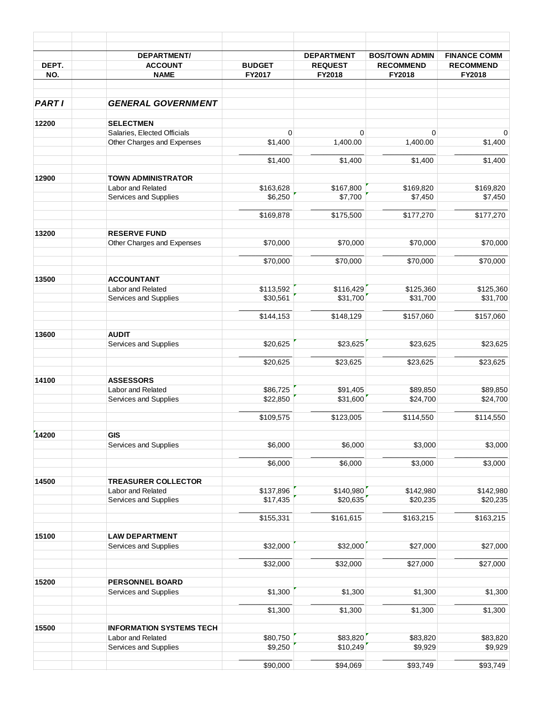|              | <b>DEPARTMENT/</b>                             |                      | <b>DEPARTMENT</b> | <b>BOS/TOWN ADMIN</b> | <b>FINANCE COMM</b> |
|--------------|------------------------------------------------|----------------------|-------------------|-----------------------|---------------------|
| DEPT.        | <b>ACCOUNT</b>                                 | <b>BUDGET</b>        | <b>REQUEST</b>    | <b>RECOMMEND</b>      | <b>RECOMMEND</b>    |
| NO.          | <b>NAME</b>                                    | FY2017               | FY2018            | FY2018                | FY2018              |
| <b>PARTI</b> | <b>GENERAL GOVERNMENT</b>                      |                      |                   |                       |                     |
| 12200        | <b>SELECTMEN</b>                               |                      |                   |                       |                     |
|              | Salaries, Elected Officials                    | $\mathbf 0$          | $\mathbf 0$       | $\mathbf 0$           | 0                   |
|              | Other Charges and Expenses                     | \$1,400              | 1,400.00          | 1,400.00              | \$1,400             |
|              |                                                | \$1,400              | \$1,400           | \$1,400               | \$1,400             |
| 12900        | <b>TOWN ADMINISTRATOR</b>                      |                      |                   |                       |                     |
|              | Labor and Related                              | \$163,628            | \$167,800         | \$169,820             | \$169,820           |
|              | Services and Supplies                          | \$6,250              | \$7,700           | \$7,450               | \$7,450             |
|              |                                                | \$169,878            | \$175,500         | \$177,270             | \$177,270           |
| 13200        | <b>RESERVE FUND</b>                            |                      |                   |                       |                     |
|              | Other Charges and Expenses                     | \$70,000             | \$70,000          | \$70,000              | \$70,000            |
|              |                                                | \$70,000             | \$70,000          | \$70,000              | \$70,000            |
| 13500        | <b>ACCOUNTANT</b>                              |                      |                   |                       |                     |
|              | Labor and Related                              | \$113,592            | \$116,429         | \$125,360             | \$125,360           |
|              | Services and Supplies                          | \$30,561             | \$31,700          | \$31,700              | \$31,700            |
|              |                                                | \$144,153            | \$148,129         | \$157,060             | \$157,060           |
| 13600        | <b>AUDIT</b>                                   |                      |                   |                       |                     |
|              | Services and Supplies                          | \$20,625             | \$23,625          | \$23,625              | \$23,625            |
|              |                                                |                      |                   |                       |                     |
|              |                                                | \$20,625             | \$23,625          | \$23,625              | \$23,625            |
| 14100        | <b>ASSESSORS</b>                               |                      |                   |                       |                     |
|              | Labor and Related<br>Services and Supplies     | \$86,725<br>\$22,850 | \$91,405          | \$89,850<br>\$24,700  | \$89,850            |
|              |                                                |                      | \$31,600          |                       | \$24,700            |
|              |                                                | \$109,575            | \$123,005         | \$114,550             | \$114,550           |
| 14200        | <b>GIS</b>                                     |                      |                   |                       |                     |
|              | Services and Supplies                          | \$6,000              | \$6,000           | \$3,000               | \$3,000             |
|              |                                                | \$6,000              | \$6,000           | \$3,000               | \$3,000             |
| 14500        | <b>TREASURER COLLECTOR</b>                     |                      |                   |                       |                     |
|              | Labor and Related                              | \$137,896            | \$140,980         | \$142,980             | \$142,980           |
|              | Services and Supplies                          | \$17,435             | \$20,635          | \$20,235              | \$20,235            |
|              |                                                | \$155,331            | \$161,615         | \$163,215             | \$163,215           |
|              |                                                |                      |                   |                       |                     |
| 15100        | <b>LAW DEPARTMENT</b><br>Services and Supplies | \$32,000             | \$32,000          | \$27,000              | \$27,000            |
|              |                                                |                      |                   |                       |                     |
|              |                                                | \$32,000             | \$32,000          | \$27,000              | \$27,000            |
| 15200        | <b>PERSONNEL BOARD</b>                         |                      |                   |                       |                     |
|              | Services and Supplies                          | \$1,300              | \$1,300           | \$1,300               | \$1,300             |
|              |                                                | \$1,300              | \$1,300           | \$1,300               | \$1,300             |
| 15500        | <b>INFORMATION SYSTEMS TECH</b>                |                      |                   |                       |                     |
|              | Labor and Related                              | \$80,750             | \$83,820          | \$83,820              | \$83,820            |
|              | Services and Supplies                          | \$9,250              | \$10,249          | \$9,929               | \$9,929             |
|              |                                                | \$90,000             | \$94,069          | \$93,749              | \$93,749            |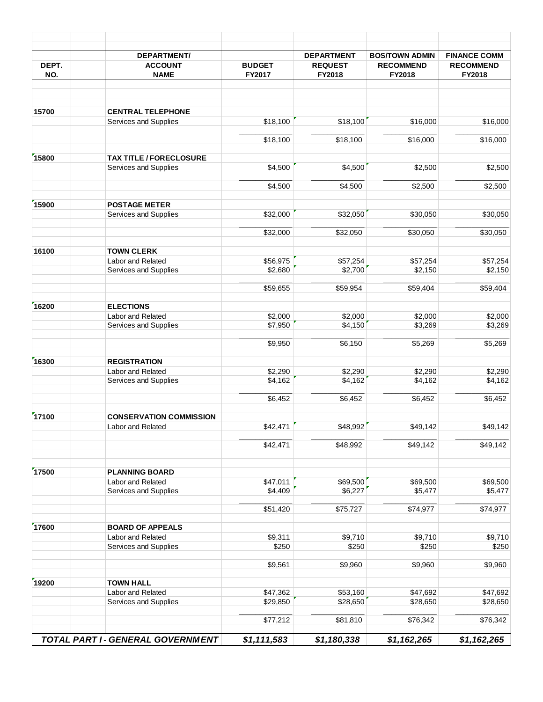|                                                  | <b>DEPARTMENT/</b>                         |               | <b>DEPARTMENT</b> | <b>BOS/TOWN ADMIN</b> | <b>FINANCE COMM</b> |
|--------------------------------------------------|--------------------------------------------|---------------|-------------------|-----------------------|---------------------|
|                                                  | <b>ACCOUNT</b>                             | <b>BUDGET</b> | <b>REQUEST</b>    | <b>RECOMMEND</b>      | <b>RECOMMEND</b>    |
|                                                  | <b>NAME</b>                                | FY2017        | FY2018            | FY2018                | FY2018              |
| 15700                                            | <b>CENTRAL TELEPHONE</b>                   |               |                   |                       |                     |
|                                                  | Services and Supplies                      | \$18,100      | \$18,100          | \$16,000              | \$16,000            |
| DEPT.<br>NO.<br>15900<br>16300<br>17100<br>17500 |                                            |               |                   |                       |                     |
|                                                  |                                            | \$18,100      | \$18,100          | \$16,000              | \$16,000            |
| 15800                                            | <b>TAX TITLE / FORECLOSURE</b>             |               |                   |                       |                     |
|                                                  | Services and Supplies                      | \$4,500       | \$4,500           | \$2,500               | \$2,500             |
|                                                  |                                            |               |                   |                       |                     |
|                                                  |                                            | \$4,500       | \$4,500           | \$2,500               | \$2,500             |
|                                                  | <b>POSTAGE METER</b>                       |               |                   |                       |                     |
|                                                  | Services and Supplies                      | \$32,000      | \$32,050          | \$30,050              | \$30,050            |
|                                                  |                                            |               |                   |                       |                     |
|                                                  |                                            | \$32,000      | \$32,050          | \$30,050              | \$30,050            |
|                                                  | <b>TOWN CLERK</b>                          |               |                   |                       |                     |
| 16100<br>16200                                   | Labor and Related                          | \$56,975      | \$57,254          | \$57,254              | \$57,254            |
|                                                  | Services and Supplies                      | \$2,680       | \$2,700           | \$2,150               | \$2,150             |
|                                                  |                                            |               |                   |                       |                     |
|                                                  |                                            | \$59,655      | \$59,954          | \$59,404              | \$59,404            |
|                                                  | <b>ELECTIONS</b>                           |               |                   |                       |                     |
|                                                  | Labor and Related                          | \$2,000       | \$2,000           | \$2,000               | \$2,000             |
|                                                  | Services and Supplies                      | \$7,950       | \$4,150           | \$3,269               | \$3,269             |
|                                                  |                                            |               |                   |                       |                     |
|                                                  |                                            | \$9,950       | \$6,150           | \$5,269               | \$5,269             |
|                                                  | <b>REGISTRATION</b>                        |               |                   |                       |                     |
|                                                  | Labor and Related                          | \$2,290       | \$2,290           | \$2,290               | \$2,290             |
|                                                  | Services and Supplies                      | \$4,162       | \$4,162           | \$4,162               | \$4,162             |
|                                                  |                                            |               |                   |                       |                     |
|                                                  |                                            | \$6,452       | \$6,452           | \$6,452               | \$6,452             |
|                                                  | <b>CONSERVATION COMMISSION</b>             |               |                   |                       |                     |
|                                                  | Labor and Related                          | \$42,471      | \$48,992          | \$49,142              | \$49,142            |
|                                                  |                                            |               |                   |                       |                     |
|                                                  |                                            | \$42,471      | \$48,992          | \$49,142              | \$49,142            |
|                                                  |                                            |               |                   |                       |                     |
|                                                  | <b>PLANNING BOARD</b><br>Labor and Related | \$47,011      | \$69,500          | \$69,500              | \$69,500            |
|                                                  | Services and Supplies                      | \$4,409       | \$6,227           | \$5,477               | \$5,477             |
|                                                  |                                            |               |                   |                       |                     |
|                                                  |                                            | \$51,420      | \$75,727          | \$74,977              | \$74,977            |
| 17600                                            | <b>BOARD OF APPEALS</b>                    |               |                   |                       |                     |
|                                                  | Labor and Related                          | \$9,311       | \$9,710           | \$9,710               | \$9,710             |
|                                                  | Services and Supplies                      | \$250         | \$250             | \$250                 | \$250               |
|                                                  |                                            |               |                   |                       |                     |
|                                                  |                                            | \$9,561       | \$9,960           | \$9,960               | \$9,960             |
| 19200                                            | <b>TOWN HALL</b>                           |               |                   |                       |                     |
|                                                  | Labor and Related                          | \$47,362      | \$53,160          | \$47,692              | \$47,692            |
|                                                  | Services and Supplies                      | \$29,850      | \$28,650          | \$28,650              | \$28,650            |
|                                                  |                                            | \$77,212      | \$81,810          | \$76,342              | \$76,342            |
|                                                  |                                            |               |                   |                       |                     |
|                                                  | TOTAL PART I - GENERAL GOVERNMENT          | \$1,111,583   | \$1,180,338       | \$1,162,265           | \$1,162,265         |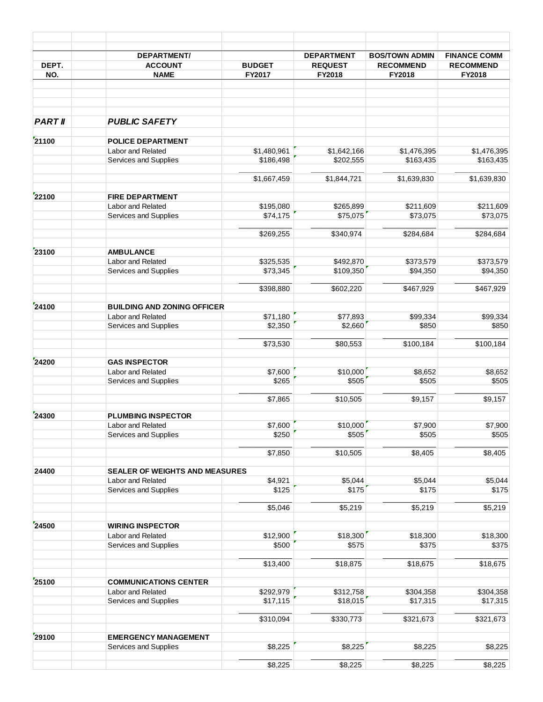| DEPT.                                                                         | <b>DEPARTMENT/</b><br><b>ACCOUNT</b><br><b>NAME</b> | <b>BUDGET</b><br>FY2017 | <b>DEPARTMENT</b><br><b>REQUEST</b><br>FY2018 | <b>BOS/TOWN ADMIN</b><br><b>RECOMMEND</b><br>FY2018 | <b>FINANCE COMM</b><br><b>RECOMMEND</b><br>FY2018 |
|-------------------------------------------------------------------------------|-----------------------------------------------------|-------------------------|-----------------------------------------------|-----------------------------------------------------|---------------------------------------------------|
|                                                                               |                                                     |                         |                                               |                                                     |                                                   |
|                                                                               |                                                     |                         |                                               |                                                     |                                                   |
| <b>PART II</b>                                                                | <b>PUBLIC SAFETY</b>                                |                         |                                               |                                                     |                                                   |
| NO.                                                                           | <b>POLICE DEPARTMENT</b>                            |                         |                                               |                                                     |                                                   |
|                                                                               | Labor and Related                                   | \$1,480,961             | \$1,642,166                                   | \$1,476,395                                         | \$1,476,395                                       |
|                                                                               | Services and Supplies                               | \$186,498               | \$202,555                                     | \$163,435                                           | \$163,435                                         |
|                                                                               |                                                     | \$1,667,459             | \$1,844,721                                   | \$1,639,830                                         | \$1,639,830                                       |
|                                                                               | <b>FIRE DEPARTMENT</b>                              |                         |                                               |                                                     |                                                   |
|                                                                               | Labor and Related                                   | \$195,080               | \$265,899                                     | \$211,609                                           | \$211,609                                         |
|                                                                               | Services and Supplies                               | \$74,175                | \$75,075                                      | \$73,075                                            | \$73,075                                          |
|                                                                               |                                                     | \$269,255               | \$340,974                                     | \$284,684                                           | \$284,684                                         |
|                                                                               | <b>AMBULANCE</b>                                    |                         |                                               |                                                     |                                                   |
| 21100<br>22100<br>23100<br>24100<br>24200<br>24300<br>24400<br>24500<br>25100 | Labor and Related                                   | \$325,535               | \$492.870                                     | \$373,579                                           | \$373,579                                         |
|                                                                               | Services and Supplies                               | \$73,345                | \$109,350                                     | \$94,350                                            | \$94,350                                          |
|                                                                               |                                                     | \$398,880               | \$602,220                                     | \$467,929                                           | \$467,929                                         |
|                                                                               |                                                     |                         |                                               |                                                     |                                                   |
|                                                                               | <b>BUILDING AND ZONING OFFICER</b>                  |                         |                                               |                                                     |                                                   |
|                                                                               | Labor and Related                                   | \$71,180                | \$77,893                                      | \$99,334                                            | \$99,334                                          |
|                                                                               | Services and Supplies                               | \$2,350                 | \$2,660                                       | \$850                                               | \$850                                             |
|                                                                               |                                                     | \$73,530                | \$80,553                                      | \$100,184                                           | \$100,184                                         |
|                                                                               | <b>GAS INSPECTOR</b>                                |                         |                                               |                                                     |                                                   |
|                                                                               | Labor and Related                                   | \$7,600                 | \$10,000                                      | \$8,652                                             | \$8,652                                           |
|                                                                               | Services and Supplies                               | \$265                   | \$505                                         | \$505                                               | \$505                                             |
|                                                                               |                                                     | \$7,865                 | \$10,505                                      | \$9,157                                             | \$9,157                                           |
|                                                                               | <b>PLUMBING INSPECTOR</b>                           |                         |                                               |                                                     |                                                   |
|                                                                               | Labor and Related                                   | \$7,600                 | \$10,000                                      | \$7,900                                             | \$7,900                                           |
|                                                                               | Services and Supplies                               | \$250                   | \$505                                         | \$505                                               | \$505                                             |
|                                                                               |                                                     | \$7,850                 | \$10,505                                      | \$8,405                                             | \$8,405                                           |
|                                                                               |                                                     |                         |                                               |                                                     |                                                   |
|                                                                               | SEALER OF WEIGHTS AND MEASURES<br>Labor and Related | \$4,921                 | \$5,044                                       | \$5,044                                             | \$5,044                                           |
|                                                                               | Services and Supplies                               | \$125                   | \$175                                         | \$175                                               | \$175                                             |
|                                                                               |                                                     |                         |                                               |                                                     |                                                   |
|                                                                               |                                                     | \$5,046                 | \$5,219                                       | \$5,219                                             | \$5,219                                           |
| 29100                                                                         | <b>WIRING INSPECTOR</b>                             |                         |                                               |                                                     |                                                   |
|                                                                               | Labor and Related                                   | \$12,900                | \$18,300                                      | \$18,300                                            | \$18,300                                          |
|                                                                               | Services and Supplies                               | \$500                   | \$575                                         | \$375                                               | \$375                                             |
|                                                                               |                                                     | \$13,400                | \$18,875                                      | \$18,675                                            | \$18,675                                          |
|                                                                               | <b>COMMUNICATIONS CENTER</b>                        |                         |                                               |                                                     |                                                   |
|                                                                               | Labor and Related                                   | \$292,979               | \$312,758                                     | \$304,358                                           | \$304,358                                         |
|                                                                               | Services and Supplies                               | \$17,115                | \$18,015                                      | \$17,315                                            | \$17,315                                          |
|                                                                               |                                                     | \$310,094               | \$330,773                                     | \$321,673                                           | \$321,673                                         |
|                                                                               | <b>EMERGENCY MANAGEMENT</b>                         |                         |                                               |                                                     |                                                   |
|                                                                               | Services and Supplies                               | \$8,225                 | \$8,225                                       | \$8,225                                             | \$8,225                                           |
|                                                                               |                                                     |                         |                                               |                                                     |                                                   |
|                                                                               |                                                     | \$8,225                 | \$8,225                                       | \$8,225                                             | \$8,225                                           |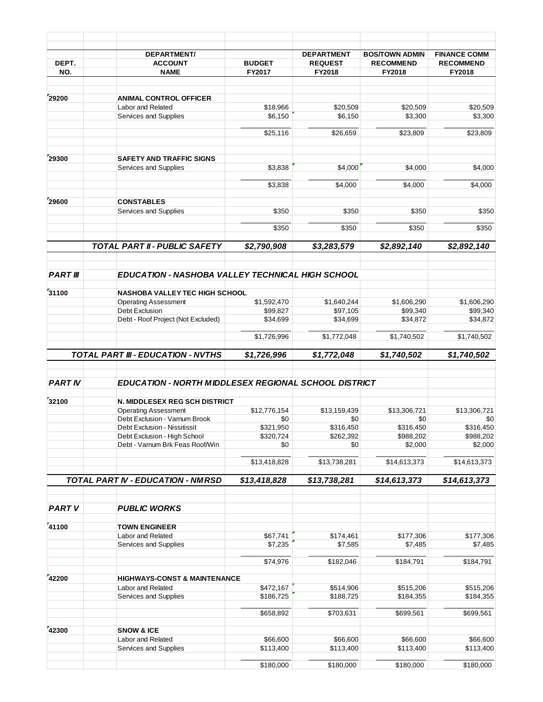| DEPT.                                                                                                                      | <b>DEPARTMENT/</b><br><b>ACCOUNT</b>                            | <b>BUDGET</b>    | <b>DEPARTMENT</b><br><b>REQUEST</b> | <b>BOS/TOWN ADMIN</b><br><b>RECOMMEND</b> | <b>FINANCE COMM</b><br><b>RECOMMEND</b> |
|----------------------------------------------------------------------------------------------------------------------------|-----------------------------------------------------------------|------------------|-------------------------------------|-------------------------------------------|-----------------------------------------|
| NO.                                                                                                                        | <b>NAME</b>                                                     | FY2017           | FY2018                              | FY2018                                    | FY2018                                  |
|                                                                                                                            |                                                                 |                  |                                     |                                           |                                         |
| 29200<br>29300<br>29600<br><b>PART III</b><br>31100<br><b>PART IV</b><br>32100<br><b>PART V</b><br>41100<br>42200<br>42300 | <b>ANIMAL CONTROL OFFICER</b>                                   |                  |                                     |                                           |                                         |
|                                                                                                                            | Labor and Related                                               | \$18,966         | \$20,509                            | \$20,509                                  | \$20,509                                |
|                                                                                                                            | Services and Supplies                                           | \$6,150          | \$6,150                             | \$3,300                                   | \$3,300                                 |
|                                                                                                                            |                                                                 | \$25,116         | \$26,659                            | \$23,809                                  | \$23,809                                |
|                                                                                                                            | <b>SAFETY AND TRAFFIC SIGNS</b>                                 |                  |                                     |                                           |                                         |
|                                                                                                                            | Services and Supplies                                           | \$3,838          | \$4,000                             | \$4,000                                   | \$4,000                                 |
|                                                                                                                            |                                                                 | \$3,838          | \$4,000                             | \$4,000                                   | \$4,000                                 |
|                                                                                                                            | <b>CONSTABLES</b>                                               |                  |                                     |                                           |                                         |
|                                                                                                                            | Services and Supplies                                           | \$350            | \$350                               | \$350                                     | \$350                                   |
|                                                                                                                            |                                                                 | \$350            | \$350                               | \$350                                     | \$350                                   |
|                                                                                                                            | <b>TOTAL PART II - PUBLIC SAFETY</b>                            | \$2,790,908      | \$3,283,579                         | \$2,892,140                               | \$2,892,140                             |
|                                                                                                                            |                                                                 |                  |                                     |                                           |                                         |
|                                                                                                                            | <b>EDUCATION - NASHOBA VALLEY TECHNICAL HIGH SCHOOL</b>         |                  |                                     |                                           |                                         |
|                                                                                                                            | <b>NASHOBA VALLEY TEC HIGH SCHOOL</b>                           |                  |                                     |                                           |                                         |
|                                                                                                                            | <b>Operating Assessment</b>                                     | \$1,592,470      | \$1,640,244                         | \$1,606,290                               | \$1,606,290                             |
|                                                                                                                            | Debt Exclusion                                                  | \$99,827         | \$97,105                            | \$99,340                                  | \$99,340                                |
|                                                                                                                            | Debt - Roof Project (Not Excluded)                              | \$34,699         | \$34,699                            | \$34,872                                  | \$34,872                                |
|                                                                                                                            |                                                                 | \$1,726,996      | \$1,772,048                         | \$1,740,502                               | \$1,740,502                             |
|                                                                                                                            | TOTAL PART III - EDUCATION - NVTHS                              | \$1,726,996      | \$1,772,048                         | \$1,740,502                               | \$1,740,502                             |
|                                                                                                                            |                                                                 |                  |                                     |                                           |                                         |
|                                                                                                                            | EDUCATION - NORTH MIDDLESEX REGIONAL SCHOOL DISTRICT            |                  |                                     |                                           |                                         |
|                                                                                                                            | <b>N. MIDDLESEX REG SCH DISTRICT</b>                            |                  |                                     |                                           |                                         |
|                                                                                                                            | <b>Operating Assessment</b>                                     | \$12.776.154     | \$13,159,439                        | \$13,306,721                              | \$13.306.721                            |
|                                                                                                                            | Debt Exclusion - Varnum Brook                                   | \$0              | \$0                                 | \$0                                       | \$0                                     |
|                                                                                                                            | Debt Exclusion - Nissitissit                                    | \$321,950        | \$316,450                           | \$316,450                                 | \$316,450                               |
|                                                                                                                            | Debt Exclusion - High School<br>Debt - Varnum Brk Feas Roof/Win | \$320,724<br>\$0 | \$262,392<br>\$0                    | \$988,202<br>\$2,000                      | \$988,202<br>\$2,000                    |
|                                                                                                                            |                                                                 |                  |                                     |                                           |                                         |
|                                                                                                                            |                                                                 | \$13,418,828     | \$13,738,281                        | \$14,613,373                              | \$14,613,373                            |
|                                                                                                                            | <b>TOTAL PART IV - EDUCATION - NMRSD</b>                        | \$13,418,828     | \$13,738,281                        | \$14,613,373                              | \$14,613,373                            |
|                                                                                                                            | <b>PUBLIC WORKS</b>                                             |                  |                                     |                                           |                                         |
|                                                                                                                            |                                                                 |                  |                                     |                                           |                                         |
|                                                                                                                            | <b>TOWN ENGINEER</b>                                            |                  |                                     |                                           |                                         |
|                                                                                                                            | Labor and Related                                               | \$67,741         | \$174,461                           | \$177,306                                 | \$177,306                               |
|                                                                                                                            | Services and Supplies                                           | \$7,235          | \$7,585                             | \$7,485                                   | \$7,485                                 |
|                                                                                                                            |                                                                 | \$74,976         | \$182,046                           | \$184,791                                 | \$184,791                               |
|                                                                                                                            | <b>HIGHWAYS-CONST &amp; MAINTENANCE</b>                         |                  |                                     |                                           |                                         |
|                                                                                                                            | Labor and Related                                               | \$472,167        | \$514,906                           | \$515,206                                 | \$515,206                               |
|                                                                                                                            | Services and Supplies                                           | \$186,725        | \$188,725                           | \$184,355                                 | \$184,355                               |
|                                                                                                                            |                                                                 | \$658,892        | \$703,631                           | \$699,561                                 | \$699,561                               |
|                                                                                                                            | <b>SNOW &amp; ICE</b>                                           |                  |                                     |                                           |                                         |
|                                                                                                                            | Labor and Related                                               | \$66,600         | \$66,600                            | \$66,600                                  | \$66,600                                |
|                                                                                                                            | Services and Supplies                                           | \$113,400        | \$113,400                           | \$113,400                                 | \$113,400                               |
|                                                                                                                            |                                                                 | \$180,000        | \$180,000                           | \$180,000                                 | \$180,000                               |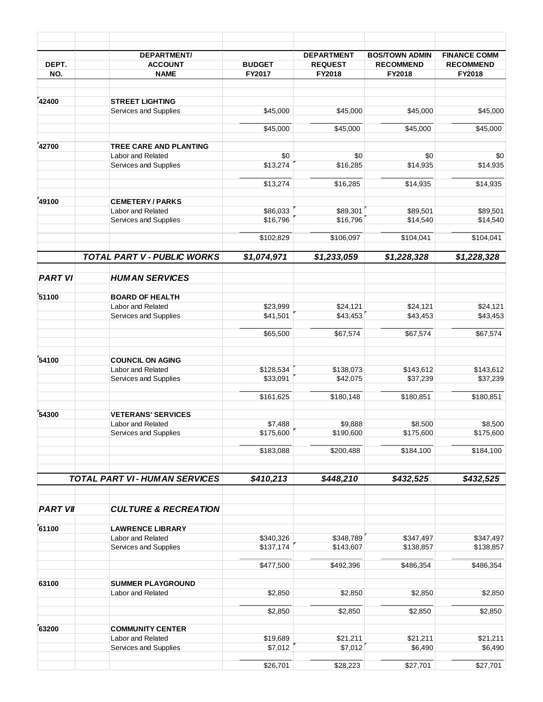| DEPT.                                                                                   | <b>DEPARTMENT/</b><br><b>ACCOUNT</b>         | <b>BUDGET</b> | <b>DEPARTMENT</b><br><b>REQUEST</b> | <b>BOS/TOWN ADMIN</b><br><b>RECOMMEND</b> | <b>FINANCE COMM</b><br><b>RECOMMEND</b> |
|-----------------------------------------------------------------------------------------|----------------------------------------------|---------------|-------------------------------------|-------------------------------------------|-----------------------------------------|
| NO.                                                                                     | <b>NAME</b>                                  | FY2017        | FY2018                              | FY2018                                    | FY2018                                  |
|                                                                                         |                                              |               |                                     |                                           |                                         |
| 42400                                                                                   | <b>STREET LIGHTING</b>                       |               |                                     |                                           |                                         |
|                                                                                         | Services and Supplies                        | \$45,000      | \$45,000                            | \$45,000                                  | \$45,000                                |
|                                                                                         |                                              | \$45,000      | \$45,000                            | \$45,000                                  | \$45,000                                |
|                                                                                         | <b>TREE CARE AND PLANTING</b>                |               |                                     |                                           |                                         |
|                                                                                         | Labor and Related                            | \$0           | \$0                                 | \$0                                       | \$0                                     |
|                                                                                         | Services and Supplies                        | \$13,274      | \$16,285                            | \$14,935                                  | \$14,935                                |
|                                                                                         |                                              |               |                                     |                                           |                                         |
|                                                                                         |                                              | \$13,274      | \$16,285                            | \$14,935                                  | \$14,935                                |
| 42700<br>49100<br><b>PART VI</b><br>54300<br><b>PART VII</b><br>61100<br>63100<br>63200 | <b>CEMETERY/PARKS</b>                        |               |                                     |                                           |                                         |
|                                                                                         | Labor and Related                            | \$86,033      | \$89,301                            | \$89,501                                  | \$89,501                                |
|                                                                                         | Services and Supplies                        | \$16,796      | \$16,796                            | \$14,540                                  | \$14,540                                |
|                                                                                         |                                              | \$102,829     | \$106,097                           | \$104,041                                 | \$104,041                               |
|                                                                                         | TOTAL PART V - PUBLIC WORKS                  | \$1,074,971   | \$1,233,059                         | \$1,228,328                               | \$1,228,328                             |
|                                                                                         |                                              |               |                                     |                                           |                                         |
|                                                                                         | <b>HUMAN SERVICES</b>                        |               |                                     |                                           |                                         |
|                                                                                         |                                              |               |                                     |                                           |                                         |
| 51100<br>54100                                                                          | <b>BOARD OF HEALTH</b><br>Labor and Related  | \$23,999      | \$24,121                            | \$24,121                                  | \$24,121                                |
|                                                                                         | Services and Supplies                        | \$41,501      | \$43,453                            | \$43,453                                  | \$43,453                                |
|                                                                                         |                                              |               |                                     |                                           |                                         |
|                                                                                         |                                              | \$65,500      | \$67,574                            | \$67,574                                  | \$67,574                                |
|                                                                                         |                                              |               |                                     |                                           |                                         |
|                                                                                         | <b>COUNCIL ON AGING</b><br>Labor and Related | \$128,534     | \$138,073                           | \$143,612                                 | \$143,612                               |
|                                                                                         | Services and Supplies                        | \$33,091      | \$42,075                            | \$37,239                                  | \$37,239                                |
|                                                                                         |                                              |               |                                     |                                           |                                         |
|                                                                                         |                                              | \$161,625     | \$180,148                           | \$180,851                                 | \$180,851                               |
|                                                                                         | <b>VETERANS' SERVICES</b>                    |               |                                     |                                           |                                         |
|                                                                                         | Labor and Related                            | \$7,488       | \$9,888                             | \$8,500                                   | \$8,500                                 |
|                                                                                         | Services and Supplies                        | \$175,600     | \$190,600                           | \$175,600                                 | \$175,600                               |
|                                                                                         |                                              | \$183,088     | \$200,488                           | \$184,100                                 | \$184,100                               |
|                                                                                         |                                              |               |                                     |                                           |                                         |
|                                                                                         | <b>TOTAL PART VI-HUMAN SERVICES</b>          | \$410,213     | \$448,210                           | \$432,525                                 | \$432,525                               |
|                                                                                         |                                              |               |                                     |                                           |                                         |
|                                                                                         | <b>CULTURE &amp; RECREATION</b>              |               |                                     |                                           |                                         |
|                                                                                         | <b>LAWRENCE LIBRARY</b>                      |               |                                     |                                           |                                         |
|                                                                                         | Labor and Related                            | \$340,326     | \$348,789                           | \$347,497                                 | \$347,497                               |
|                                                                                         | Services and Supplies                        | \$137,174     | \$143,607                           | \$138,857                                 | \$138,857                               |
|                                                                                         |                                              | \$477,500     | \$492,396                           | \$486,354                                 | \$486,354                               |
|                                                                                         |                                              |               |                                     |                                           |                                         |
|                                                                                         | <b>SUMMER PLAYGROUND</b>                     |               |                                     |                                           |                                         |
|                                                                                         | Labor and Related                            | \$2,850       | \$2,850                             | \$2,850                                   | \$2,850                                 |
|                                                                                         |                                              | \$2,850       | \$2,850                             | \$2,850                                   | \$2,850                                 |
|                                                                                         |                                              |               |                                     |                                           |                                         |
|                                                                                         | <b>COMMUNITY CENTER</b><br>Labor and Related | \$19,689      | \$21,211                            | \$21,211                                  | \$21,211                                |
|                                                                                         | Services and Supplies                        | \$7,012       | \$7,012                             | \$6,490                                   | \$6,490                                 |
|                                                                                         |                                              |               |                                     |                                           |                                         |
|                                                                                         |                                              | \$26,701      | \$28,223                            | \$27,701                                  | \$27,701                                |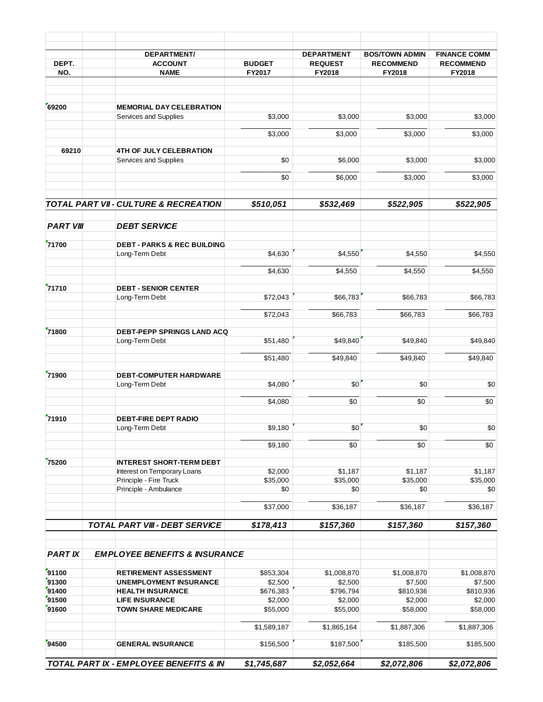|                                                                                                            | <b>DEPARTMENT/</b>                                             |                      | <b>DEPARTMENT</b>    | <b>BOS/TOWN ADMIN</b> | <b>FINANCE COMM</b>  |
|------------------------------------------------------------------------------------------------------------|----------------------------------------------------------------|----------------------|----------------------|-----------------------|----------------------|
| DEPT.                                                                                                      | <b>ACCOUNT</b>                                                 | <b>BUDGET</b>        | <b>REQUEST</b>       | <b>RECOMMEND</b>      | <b>RECOMMEND</b>     |
| NO.                                                                                                        | <b>NAME</b>                                                    | FY2017               | FY2018               | FY2018                | FY2018               |
|                                                                                                            |                                                                |                      |                      |                       |                      |
|                                                                                                            | <b>MEMORIAL DAY CELEBRATION</b><br>Services and Supplies       | \$3,000              | \$3,000              | \$3,000               | \$3,000              |
|                                                                                                            |                                                                | \$3,000              | \$3,000              | \$3,000               | \$3,000              |
|                                                                                                            | <b>4TH OF JULY CELEBRATION</b>                                 |                      |                      |                       |                      |
|                                                                                                            | Services and Supplies                                          | \$0                  | \$6,000              | \$3,000               | \$3,000              |
|                                                                                                            |                                                                | \$0                  | \$6,000              | \$3,000               | \$3,000              |
|                                                                                                            | TOTAL PART VII - CULTURE & RECREATION                          | \$510,051            | \$532,469            | \$522,905             | \$522,905            |
|                                                                                                            |                                                                |                      |                      |                       |                      |
|                                                                                                            | <b>DEBT SERVICE</b>                                            |                      |                      |                       |                      |
| 69200<br>69210<br><b>PART VIII</b><br>71700<br><b>PART IX</b><br>91300<br>91400<br>91500<br>91600<br>94500 | <b>DEBT - PARKS &amp; REC BUILDING</b><br>Long-Term Debt       | \$4,630              | \$4,550              | \$4,550               | \$4,550              |
|                                                                                                            |                                                                |                      |                      |                       |                      |
|                                                                                                            |                                                                | \$4,630              | \$4,550              | \$4,550               | \$4,550              |
|                                                                                                            | <b>DEBT - SENIOR CENTER</b><br>Long-Term Debt                  | \$72,043             | \$66,783             | \$66,783              | \$66,783             |
|                                                                                                            |                                                                | \$72,043             | \$66,783             | \$66,783              | \$66,783             |
|                                                                                                            | <b>DEBT-PEPP SPRINGS LAND ACQ</b>                              |                      |                      |                       |                      |
|                                                                                                            | Long-Term Debt                                                 | \$51,480             | \$49,840             | \$49,840              | \$49,840             |
| 71800<br>71900                                                                                             |                                                                | \$51,480             | \$49,840             | \$49,840              | \$49,840             |
|                                                                                                            | <b>DEBT-COMPUTER HARDWARE</b>                                  |                      |                      |                       |                      |
| 71710<br>71910                                                                                             | Long-Term Debt                                                 | \$4,080              | \$0                  | \$0                   | \$0                  |
|                                                                                                            |                                                                | \$4,080              | \$0                  | \$0                   | \$0                  |
|                                                                                                            | <b>DEBT-FIRE DEPT RADIO</b>                                    |                      |                      |                       |                      |
|                                                                                                            | Long-Term Debt                                                 | \$9,180              | \$0                  | \$0                   | $\$0$                |
|                                                                                                            |                                                                | \$9,180              | \$0                  | \$0                   | \$0                  |
| 75200                                                                                                      | <b>INTEREST SHORT-TERM DEBT</b><br>Interest on Temporary Loans |                      |                      |                       |                      |
|                                                                                                            | Principle - Fire Truck                                         | \$2,000<br>\$35,000  | \$1,187<br>\$35,000  | \$1,187<br>\$35,000   | \$1,187<br>\$35,000  |
|                                                                                                            | Principle - Ambulance                                          | \$0                  | \$0                  | \$0                   | \$0                  |
|                                                                                                            |                                                                | \$37,000             | \$36,187             | \$36,187              | \$36,187             |
|                                                                                                            | <b>TOTAL PART VIII - DEBT SERVICE</b>                          | \$178,413            | \$157,360            | \$157,360             | \$157,360            |
|                                                                                                            |                                                                |                      |                      |                       |                      |
|                                                                                                            | <b>EMPLOYEE BENEFITS &amp; INSURANCE</b>                       |                      |                      |                       |                      |
| 91100                                                                                                      | <b>RETIREMENT ASSESSMENT</b>                                   | \$853,304            | \$1,008,870          | \$1,008,870           | \$1,008,870          |
|                                                                                                            | <b>UNEMPLOYMENT INSURANCE</b><br><b>HEALTH INSURANCE</b>       | \$2,500<br>\$676,383 | \$2,500<br>\$796,794 | \$7,500<br>\$810,936  | \$7,500<br>\$810,936 |
|                                                                                                            | <b>LIFE INSURANCE</b>                                          | \$2,000              | \$2,000              | \$2,000               | \$2,000              |
|                                                                                                            | <b>TOWN SHARE MEDICARE</b>                                     | \$55,000             | \$55,000             | \$58,000              | \$58,000             |
|                                                                                                            |                                                                |                      |                      |                       |                      |
|                                                                                                            |                                                                | \$1,589,187          | \$1,865,164          | \$1,887,306           | \$1,887,306          |
|                                                                                                            | <b>GENERAL INSURANCE</b>                                       | \$156,500            | \$187,500            | \$185,500             | \$185,500            |
|                                                                                                            | TOTAL PART IX - EMPLOYEE BENEFITS & IN                         | \$1,745,687          | \$2,052,664          | \$2,072,806           | \$2,072,806          |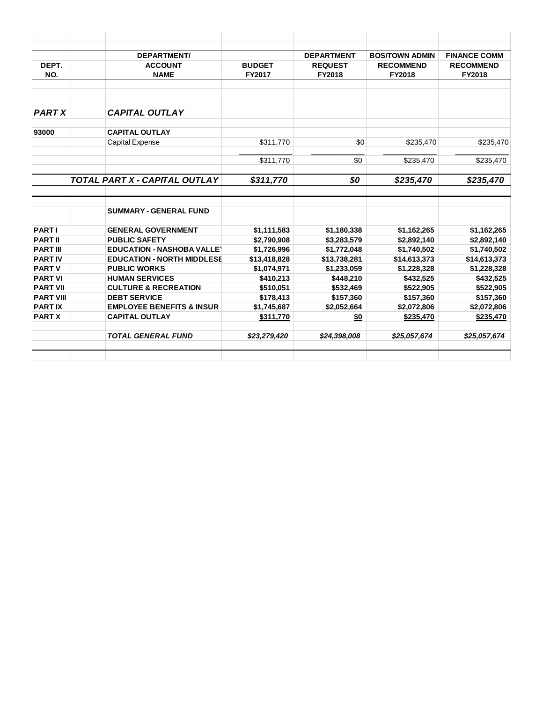|                                   | <b>DEPARTMENT/</b>                                        |                             | <b>DEPARTMENT</b>           | <b>BOS/TOWN ADMIN</b>       | <b>FINANCE COMM</b>         |
|-----------------------------------|-----------------------------------------------------------|-----------------------------|-----------------------------|-----------------------------|-----------------------------|
| DEPT.                             | <b>ACCOUNT</b>                                            | <b>BUDGET</b>               | <b>REQUEST</b>              | <b>RECOMMEND</b>            | <b>RECOMMEND</b>            |
| NO.                               | <b>NAME</b>                                               | FY2017                      | <b>FY2018</b>               | <b>FY2018</b>               | <b>FY2018</b>               |
|                                   |                                                           |                             |                             |                             |                             |
| <b>PART X</b>                     | <b>CAPITAL OUTLAY</b>                                     |                             |                             |                             |                             |
| 93000                             | <b>CAPITAL OUTLAY</b>                                     |                             |                             |                             |                             |
|                                   | Capital Expense                                           | \$311,770                   | \$0                         | \$235,470                   | \$235,470                   |
|                                   |                                                           | \$311,770                   | \$0                         | \$235,470                   | \$235,470                   |
|                                   | TOTAL PART X - CAPITAL OUTLAY                             | \$311,770                   | \$0                         | \$235,470                   | \$235,470                   |
|                                   | <b>SUMMARY - GENERAL FUND</b>                             |                             |                             |                             |                             |
|                                   |                                                           |                             |                             |                             |                             |
| <b>PARTI</b>                      | <b>GENERAL GOVERNMENT</b>                                 | \$1,111,583                 | \$1,180,338                 | \$1,162,265                 | \$1,162,265                 |
| <b>PART II</b><br><b>PART III</b> | <b>PUBLIC SAFETY</b><br><b>EDUCATION - NASHOBA VALLEY</b> | \$2,790,908                 | \$3,283,579                 | \$2,892,140                 | \$2,892,140                 |
| <b>PARTIV</b>                     | <b>EDUCATION - NORTH MIDDLESE</b>                         | \$1,726,996<br>\$13,418,828 | \$1,772,048<br>\$13,738,281 | \$1,740,502<br>\$14,613,373 | \$1,740,502<br>\$14,613,373 |
| <b>PART V</b>                     | <b>PUBLIC WORKS</b>                                       | \$1,074,971                 | \$1,233,059                 | \$1,228,328                 | \$1,228,328                 |
| <b>PART VI</b>                    | <b>HUMAN SERVICES</b>                                     | \$410,213                   | \$448,210                   | \$432.525                   | \$432,525                   |
| <b>PART VII</b>                   | <b>CULTURE &amp; RECREATION</b>                           | \$510,051                   | \$532,469                   | \$522,905                   | \$522,905                   |
| <b>PART VIII</b>                  | <b>DEBT SERVICE</b>                                       | \$178,413                   | \$157,360                   | \$157,360                   | \$157,360                   |
| <b>PARTIX</b>                     | <b>EMPLOYEE BENEFITS &amp; INSUR</b>                      | \$1,745,687                 | \$2,052,664                 | \$2,072,806                 | \$2,072,806                 |
| <b>PART X</b>                     | <b>CAPITAL OUTLAY</b>                                     | \$311,770                   | \$0                         | \$235,470                   | \$235,470                   |
|                                   | <b>TOTAL GENERAL FUND</b>                                 | \$23,279,420                | \$24,398,008                | \$25,057,674                | \$25,057,674                |
|                                   |                                                           |                             |                             |                             |                             |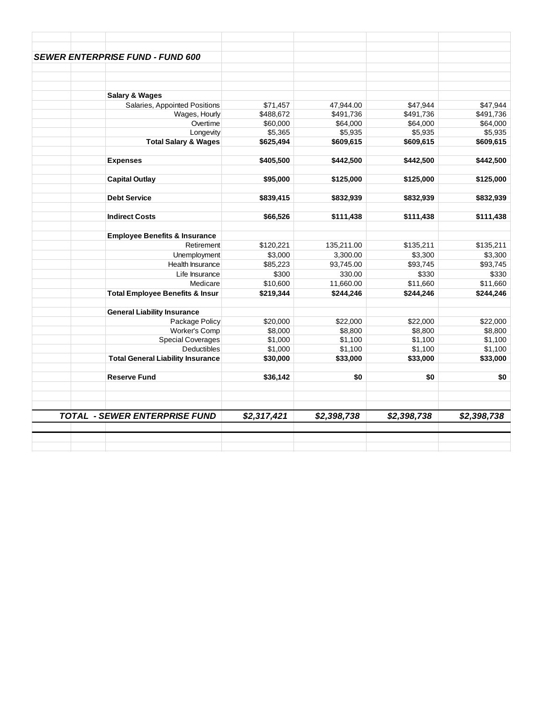| <b>SEWER ENTERPRISE FUND - FUND 600</b>    |                    |                    |                     |                    |
|--------------------------------------------|--------------------|--------------------|---------------------|--------------------|
|                                            |                    |                    |                     |                    |
|                                            |                    |                    |                     |                    |
|                                            |                    |                    |                     |                    |
| <b>Salary &amp; Wages</b>                  |                    |                    |                     |                    |
| Salaries, Appointed Positions              | \$71,457           | 47,944.00          | \$47,944            | \$47,944           |
| Wages, Hourly                              | \$488,672          | \$491,736          | \$491,736           | \$491,736          |
| Overtime                                   | \$60,000           | \$64,000           | \$64,000            | \$64,000           |
| Longevity                                  | \$5,365            | \$5,935            | \$5,935             | \$5,935            |
| <b>Total Salary &amp; Wages</b>            | \$625,494          | \$609,615          | \$609,615           | \$609,615          |
| <b>Expenses</b>                            | \$405,500          | \$442,500          | \$442,500           | \$442,500          |
|                                            |                    |                    |                     |                    |
| <b>Capital Outlay</b>                      | \$95,000           | \$125,000          | \$125,000           | \$125,000          |
| <b>Debt Service</b>                        | \$839,415          | \$832,939          | \$832,939           | \$832,939          |
|                                            |                    |                    |                     |                    |
| <b>Indirect Costs</b>                      | \$66,526           | \$111,438          | \$111,438           | \$111,438          |
| <b>Employee Benefits &amp; Insurance</b>   |                    |                    |                     |                    |
| Retirement                                 | \$120,221          | 135,211.00         | \$135,211           | \$135,211          |
| Unemployment                               | \$3,000            | 3,300.00           | \$3,300             | \$3,300            |
| <b>Health Insurance</b>                    | \$85,223           | 93,745.00          | \$93,745            | \$93,745           |
| Life Insurance                             | \$300              | 330.00             | \$330               | \$330              |
| Medicare                                   | \$10,600           | 11,660.00          | \$11,660            | \$11,660           |
| <b>Total Employee Benefits &amp; Insur</b> | \$219,344          | \$244,246          | \$244,246           | \$244,246          |
|                                            |                    |                    |                     |                    |
| <b>General Liability Insurance</b>         |                    |                    |                     |                    |
| Package Policy                             | \$20,000           | \$22,000           | \$22,000            | \$22,000           |
| <b>Worker's Comp</b>                       | \$8,000            | \$8,800            | \$8,800             | \$8,800<br>\$1,100 |
| <b>Special Coverages</b><br>Deductibles    | \$1,000<br>\$1,000 | \$1,100<br>\$1,100 | \$1,100             | \$1,100            |
| <b>Total General Liability Insurance</b>   | \$30,000           | \$33,000           | \$1,100<br>\$33,000 | \$33,000           |
|                                            |                    |                    |                     |                    |
| <b>Reserve Fund</b>                        | \$36,142           | \$0                | \$0                 | \$0                |
|                                            |                    |                    |                     |                    |
| <b>TOTAL - SEWER ENTERPRISE FUND</b>       | \$2,317,421        | \$2,398,738        | \$2,398,738         | \$2,398,738        |
|                                            |                    |                    |                     |                    |
|                                            |                    |                    |                     |                    |
|                                            |                    |                    |                     |                    |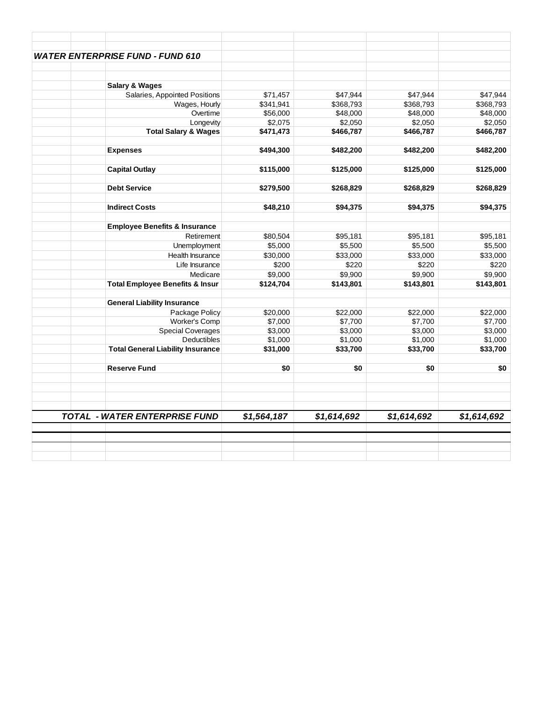| <b>WATER ENTERPRISE FUND - FUND 610</b>    |             |             |             |             |
|--------------------------------------------|-------------|-------------|-------------|-------------|
|                                            |             |             |             |             |
| <b>Salary &amp; Wages</b>                  |             |             |             |             |
| Salaries, Appointed Positions              | \$71,457    | \$47,944    | \$47,944    | \$47,944    |
| Wages, Hourly                              | \$341,941   | \$368,793   | \$368,793   | \$368,793   |
| Overtime                                   | \$56,000    | \$48,000    | \$48,000    | \$48,000    |
| Longevity                                  | \$2,075     | \$2,050     | \$2,050     | \$2,050     |
| <b>Total Salary &amp; Wages</b>            | \$471,473   | \$466,787   | \$466,787   | \$466,787   |
| <b>Expenses</b>                            | \$494,300   | \$482,200   | \$482,200   | \$482,200   |
| <b>Capital Outlay</b>                      | \$115,000   | \$125,000   | \$125,000   | \$125,000   |
| <b>Debt Service</b>                        | \$279,500   | \$268,829   | \$268,829   | \$268,829   |
| <b>Indirect Costs</b>                      | \$48,210    | \$94,375    | \$94,375    | \$94,375    |
|                                            |             |             |             |             |
| <b>Employee Benefits &amp; Insurance</b>   |             |             |             |             |
| Retirement                                 | \$80,504    | \$95,181    | \$95,181    | \$95,181    |
| Unemployment                               | \$5,000     | \$5,500     | \$5,500     | \$5,500     |
| Health Insurance                           | \$30,000    | \$33,000    | \$33,000    | \$33,000    |
| Life Insurance                             | \$200       | \$220       | \$220       | \$220       |
| Medicare                                   | \$9,000     | \$9,900     | \$9,900     | \$9,900     |
| <b>Total Employee Benefits &amp; Insur</b> | \$124,704   | \$143,801   | \$143,801   | \$143,801   |
| <b>General Liability Insurance</b>         |             |             |             |             |
| Package Policy                             | \$20,000    | \$22,000    | \$22,000    | \$22,000    |
| Worker's Comp                              | \$7,000     | \$7,700     | \$7,700     | \$7,700     |
| <b>Special Coverages</b>                   | \$3,000     | \$3,000     | \$3,000     | \$3,000     |
| <b>Deductibles</b>                         | \$1,000     | \$1,000     | \$1,000     | \$1,000     |
| <b>Total General Liability Insurance</b>   | \$31,000    | \$33,700    | \$33,700    | \$33,700    |
| <b>Reserve Fund</b>                        | \$0         | \$0         | \$0         |             |
|                                            |             |             |             |             |
| <b>TOTAL - WATER ENTERPRISE FUND</b>       | \$1,564,187 | \$1,614,692 | \$1,614,692 | \$1,614,692 |
|                                            |             |             |             |             |
|                                            |             |             |             |             |